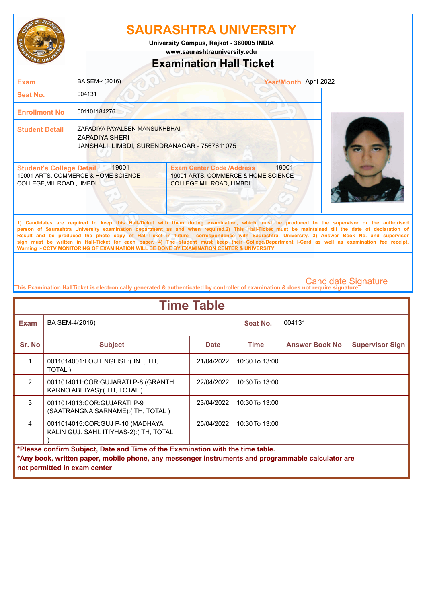

## **SAURASHTRA UNIVERSITY**

**University Campus, Rajkot - 360005 INDIA**

**www.saurashtrauniversity.edu**

### **Examination Hall Ticket**

| <b>Exam</b>                                                                                                    | BA SEM-4(2016)                                                                                  |                                                                                                      | Year/Month April-2022 |  |
|----------------------------------------------------------------------------------------------------------------|-------------------------------------------------------------------------------------------------|------------------------------------------------------------------------------------------------------|-----------------------|--|
| Seat No.                                                                                                       | 004131                                                                                          |                                                                                                      |                       |  |
| <b>Enrollment No</b>                                                                                           | 001101184276                                                                                    |                                                                                                      |                       |  |
| <b>Student Detail</b>                                                                                          | ZAPADIYA PAYALBEN MANSUKHBHAI<br>ZAPADIYA SHERI<br>JANSHALI, LIMBDI, SURENDRANAGAR - 7567611075 |                                                                                                      |                       |  |
| 19001<br><b>Student's College Detail</b><br>19001-ARTS, COMMERCE & HOME SCIENCE<br>COLLEGE, MIL ROAD, , LIMBDI |                                                                                                 | <b>Exam Center Code /Address</b><br>19001-ARTS, COMMERCE & HOME SCIENCE<br>COLLEGE, MIL ROAD, LIMBDI | 19001                 |  |

**1) Candidates are required to keep this Hall-Ticket with them during examination, which must be produced to the supervisor or the authorised person of Saurashtra University examination department as and when required.2) This Hall-Ticket must be maintained till the date of declaration of Result and be produced the photo copy of Hall-Ticket in future correspondence with Saurashtra. University. 3) Answer Book No. and supervisor sign must be written in Hall-Ticket for each paper. 4) The student must keep their College/Department I-Card as well as examination fee receipt. Warning :- CCTV MONITORING OF EXAMINATION WILL BE DONE BY EXAMINATION CENTER & UNIVERSITY**

**This Examination HallTicket is electronically generated & authenticated by controller of examination & does not require signature** 

| <b>Time Table</b>                                                                                                                                                                                                   |                                                                               |             |                    |                       |                        |  |
|---------------------------------------------------------------------------------------------------------------------------------------------------------------------------------------------------------------------|-------------------------------------------------------------------------------|-------------|--------------------|-----------------------|------------------------|--|
| <b>Exam</b>                                                                                                                                                                                                         | BA SEM-4(2016)                                                                |             | Seat No.           | 004131                |                        |  |
| Sr. No                                                                                                                                                                                                              | <b>Subject</b>                                                                | <b>Date</b> | Time               | <b>Answer Book No</b> | <b>Supervisor Sign</b> |  |
| 1                                                                                                                                                                                                                   | 0011014001:FOU:ENGLISH:(INT, TH,<br>TOTAL)                                    | 21/04/2022  | $10:30$ To $13:00$ |                       |                        |  |
| $\mathfrak{p}$                                                                                                                                                                                                      | 0011014011:COR:GUJARATI P-8 (GRANTH<br>KARNO ABHIYAS): (TH, TOTAL)            | 22/04/2022  | $10:30$ To $13:00$ |                       |                        |  |
| 3                                                                                                                                                                                                                   | 0011014013: COR: GUJARATI P-9<br>(SAATRANGNA SARNAME):(TH, TOTAL)             | 23/04/2022  | $10:30$ To $13:00$ |                       |                        |  |
| $\overline{4}$                                                                                                                                                                                                      | 0011014015: COR: GUJ P-10 (MADHAYA<br>KALIN GUJ. SAHI. ITIYHAS-2): (TH, TOTAL | 25/04/2022  | $10:30$ To $13:00$ |                       |                        |  |
| *Please confirm Subject, Date and Time of the Examination with the time table.<br>*Any book, written paper, mobile phone, any messenger instruments and programmable calculator are<br>not permitted in exam center |                                                                               |             |                    |                       |                        |  |